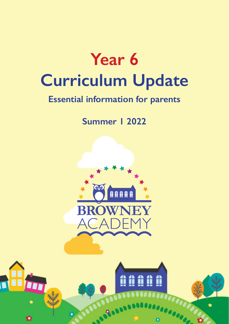

# **Essential information for parents**

**Summer 1 2022**



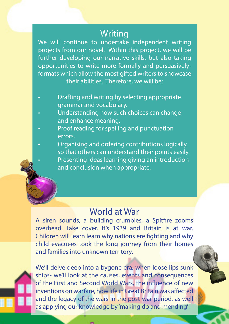### **Writing**

We will continue to undertake independent writing projects from our novel. Within this project, we will be further developing our narrative skills, but also taking opportunities to write more formally and persuasivelyformats which allow the most gifted writers to showcase their abilities. Therefore, we will be:

- Drafting and writing by selecting appropriate grammar and vocabulary.
- Understanding how such choices can change and enhance meaning.
- Proof reading for spelling and punctuation errors.
- Organising and ordering contributions logically so that others can understand their points easily.
	- Presenting ideas learning giving an introduction and conclusion when appropriate.

## World at War

A siren sounds, a building crumbles, a Spitfire zooms overhead. Take cover. It's 1939 and Britain is at war. Children will learn learn why nations ere fighting and why child evacuees took the long journey from their homes and families into unknown territory.



We'll delve deep into a bygone era, when loose lips sunk ships- we'll look at the causes, events and consequences of the First and Second World Wars, the influence of new inventions on warfare, how life in Great Britain was affected and the legacy of the wars in the post-war period, as well as applying our knowledge by 'making do and mending'!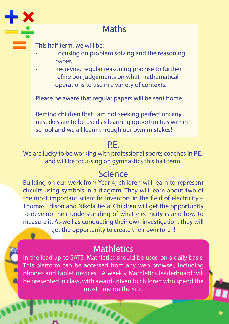

# **Maths**

This half term, we will be:

- Focusing on problem solving and the reasoning paper.
- Recieving regular reasoning pracrise to further refine our judgements on what mathematical operations to use in a variety of contexts.

Please be aware that regular papers will be sent home.

Remind children that I am not seeking perfection: any mistakes are to be used as learning opportunities within school and we all learn through our own mistakes!

### P.E.

We are lucky to be working with professional sports coaches in P.E., and will be focussing on gymnastics this half term.

### Science

Building on our work from Year 4, children will learn to represent circuits using symbols in a diagram. They will learn about two of the most important scientific inventors in the field of electricity – Thomas Edison and Nikola Tesla. Children will get the opportunity to develop their understanding of what electricity is and how to measure it. As well as conducting their own investigation, they will get the opportunity to create their own torch!

# **Mathletics**

In the lead up to SATS, Mathletics should be used on a daily basis. This platform can be accessed from any web browser, including phones and tablet devices. A weekly Mathletics leaderboard will be presented in class, with awards given to children who spend the most time on the site.

**SOOP**